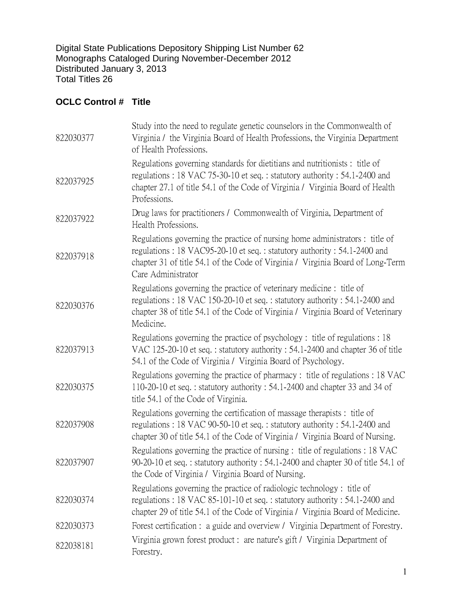Digital State Publications Depository Shipping List Number 62 Monographs Cataloged During November-December 2012 Distributed January 3, 2013 Total Titles 26

## **OCLC Control # Title**

| 822030377 | Study into the need to regulate genetic counselors in the Commonwealth of<br>Virginia / the Virginia Board of Health Professions, the Virginia Department<br>of Health Professions.                                                                             |
|-----------|-----------------------------------------------------------------------------------------------------------------------------------------------------------------------------------------------------------------------------------------------------------------|
| 822037925 | Regulations governing standards for dietitians and nutritionists : title of<br>regulations: 18 VAC 75-30-10 et seq.: statutory authority: 54.1-2400 and<br>chapter 27.1 of title 54.1 of the Code of Virginia / Virginia Board of Health<br>Professions.        |
| 822037922 | Drug laws for practitioners / Commonwealth of Virginia, Department of<br>Health Professions.                                                                                                                                                                    |
| 822037918 | Regulations governing the practice of nursing home administrators : title of<br>regulations: 18 VAC95-20-10 et seq.: statutory authority: 54.1-2400 and<br>chapter 31 of title 54.1 of the Code of Virginia / Virginia Board of Long-Term<br>Care Administrator |
| 822030376 | Regulations governing the practice of veterinary medicine : title of<br>regulations: 18 VAC 150-20-10 et seq.: statutory authority: 54.1-2400 and<br>chapter 38 of title 54.1 of the Code of Virginia / Virginia Board of Veterinary<br>Medicine.               |
| 822037913 | Regulations governing the practice of psychology: title of regulations: 18<br>VAC 125-20-10 et seq.: statutory authority: 54.1-2400 and chapter 36 of title<br>54.1 of the Code of Virginia / Virginia Board of Psychology.                                     |
| 822030375 | Regulations governing the practice of pharmacy: title of regulations: 18 VAC<br>110-20-10 et seq.: statutory authority: 54.1-2400 and chapter 33 and 34 of<br>title 54.1 of the Code of Virginia.                                                               |
| 822037908 | Regulations governing the certification of massage therapists : title of<br>regulations: 18 VAC 90-50-10 et seq.: statutory authority: 54.1-2400 and<br>chapter 30 of title 54.1 of the Code of Virginia / Virginia Board of Nursing.                           |
| 822037907 | Regulations governing the practice of nursing : title of regulations : 18 VAC<br>90-20-10 et seq.: statutory authority: 54.1-2400 and chapter 30 of title 54.1 of<br>the Code of Virginia / Virginia Board of Nursing.                                          |
| 822030374 | Regulations governing the practice of radiologic technology: title of<br>regulations: 18 VAC 85-101-10 et seq.: statutory authority: 54.1-2400 and<br>chapter 29 of title 54.1 of the Code of Virginia / Virginia Board of Medicine.                            |
| 822030373 | Forest certification : a guide and overview / Virginia Department of Forestry.                                                                                                                                                                                  |
| 822038181 | Virginia grown forest product: are nature's gift / Virginia Department of<br>Forestry.                                                                                                                                                                          |